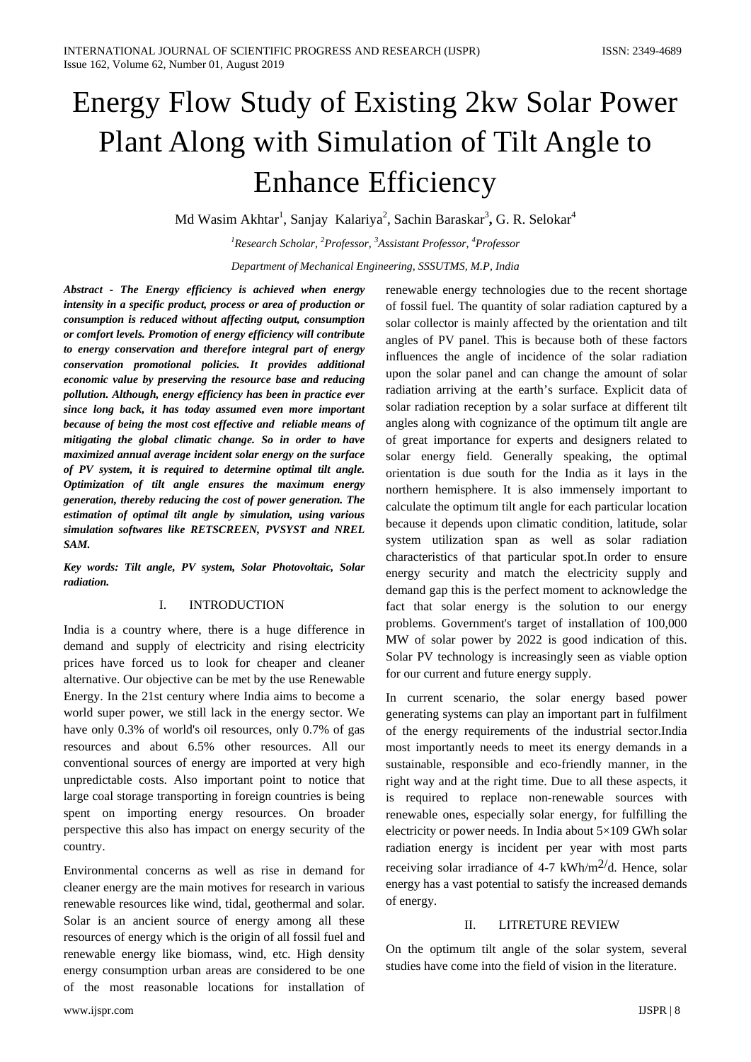# Energy Flow Study of Existing 2kw Solar Power Plant Along with Simulation of Tilt Angle to Enhance Efficiency

Md Wasim Akhtar<sup>1</sup>, Sanjay Kalariya<sup>2</sup>, Sachin Baraskar<sup>3</sup>, G. R. Selokar<sup>4</sup>

*1 Research Scholar, <sup>2</sup> Professor, <sup>3</sup> Assistant Professor, <sup>4</sup> Professor Department of Mechanical Engineering, SSSUTMS, M.P, India*

*Abstract - The Energy efficiency is achieved when energy intensity in a specific product, process or area of production or consumption is reduced without affecting output, consumption or comfort levels. Promotion of energy efficiency will contribute to energy conservation and therefore integral part of energy conservation promotional policies. It provides additional economic value by preserving the resource base and reducing pollution. Although, energy efficiency has been in practice ever since long back, it has today assumed even more important because of being the most cost effective and reliable means of mitigating the global climatic change. So in order to have maximized annual average incident solar energy on the surface of PV system, it is required to determine optimal tilt angle. Optimization of tilt angle ensures the maximum energy generation, thereby reducing the cost of power generation. The estimation of optimal tilt angle by simulation, using various simulation softwares like RETSCREEN, PVSYST and NREL SAM.* 

*Key words: Tilt angle, PV system, Solar Photovoltaic, Solar radiation.* 

#### I. INTRODUCTION

India is a country where, there is a huge difference in demand and supply of electricity and rising electricity prices have forced us to look for cheaper and cleaner alternative. Our objective can be met by the use Renewable Energy. In the 21st century where India aims to become a world super power, we still lack in the energy sector. We have only 0.3% of world's oil resources, only 0.7% of gas resources and about 6.5% other resources. All our conventional sources of energy are imported at very high unpredictable costs. Also important point to notice that large coal storage transporting in foreign countries is being spent on importing energy resources. On broader perspective this also has impact on energy security of the country.

Environmental concerns as well as rise in demand for cleaner energy are the main motives for research in various renewable resources like wind, tidal, geothermal and solar. Solar is an ancient source of energy among all these resources of energy which is the origin of all fossil fuel and renewable energy like biomass, wind, etc. High density energy consumption urban areas are considered to be one of the most reasonable locations for installation of renewable energy technologies due to the recent shortage of fossil fuel. The quantity of solar radiation captured by a solar collector is mainly affected by the orientation and tilt angles of PV panel. This is because both of these factors influences the angle of incidence of the solar radiation upon the solar panel and can change the amount of solar radiation arriving at the earth's surface. Explicit data of solar radiation reception by a solar surface at different tilt angles along with cognizance of the optimum tilt angle are of great importance for experts and designers related to solar energy field. Generally speaking, the optimal orientation is due south for the India as it lays in the northern hemisphere. It is also immensely important to calculate the optimum tilt angle for each particular location because it depends upon climatic condition, latitude, solar system utilization span as well as solar radiation characteristics of that particular spot.In order to ensure energy security and match the electricity supply and demand gap this is the perfect moment to acknowledge the fact that solar energy is the solution to our energy problems. Government's target of installation of 100,000 MW of solar power by 2022 is good indication of this. Solar PV technology is increasingly seen as viable option for our current and future energy supply.

In current scenario, the solar energy based power generating systems can play an important part in fulfilment of the energy requirements of the industrial sector.India most importantly needs to meet its energy demands in a sustainable, responsible and eco-friendly manner, in the right way and at the right time. Due to all these aspects, it is required to replace non-renewable sources with renewable ones, especially solar energy, for fulfilling the electricity or power needs. In India about 5×109 GWh solar radiation energy is incident per year with most parts receiving solar irradiance of 4-7 kWh/m<sup>2/</sup>d. Hence, solar energy has a vast potential to satisfy the increased demands of energy.

#### II. LITRETURE REVIEW

On the optimum tilt angle of the solar system, several studies have come into the field of vision in the literature.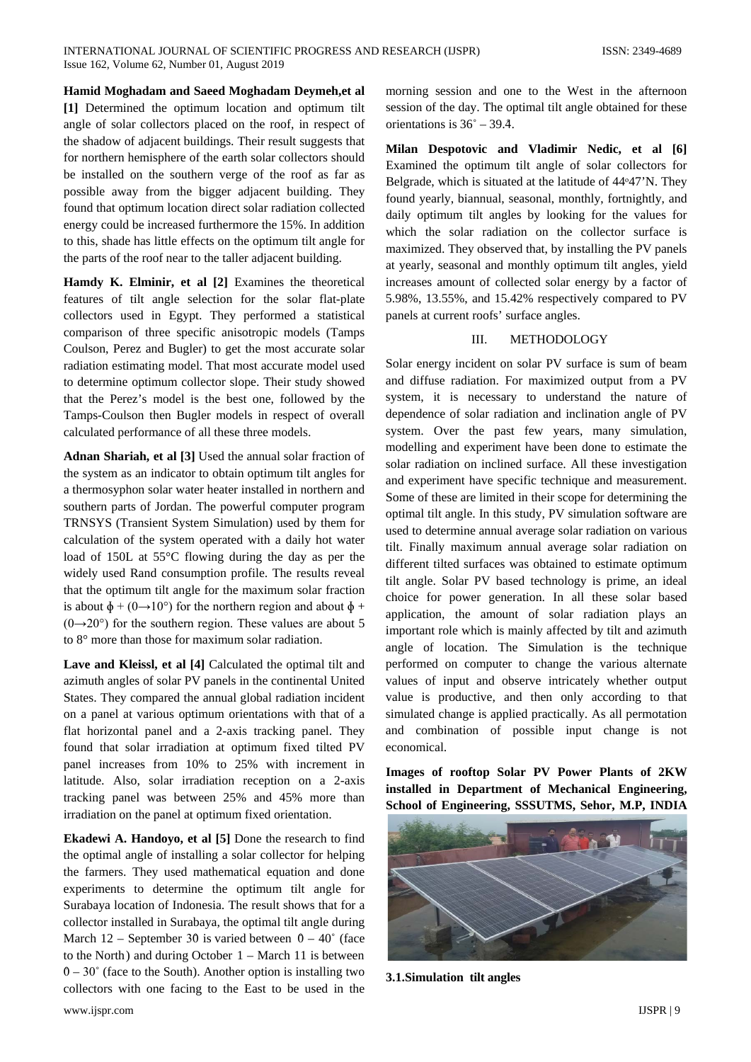**Hamid Moghadam and Saeed Moghadam Deymeh,et al [1]** Determined the optimum location and optimum tilt angle of solar collectors placed on the roof, in respect of the shadow of adjacent buildings. Their result suggests that for northern hemisphere of the earth solar collectors should be installed on the southern verge of the roof as far as possible away from the bigger adjacent building. They found that optimum location direct solar radiation collected energy could be increased furthermore the 15%. In addition to this, shade has little effects on the optimum tilt angle for the parts of the roof near to the taller adjacent building.

**Hamdy K. Elminir, et al [2]** Examines the theoretical features of tilt angle selection for the solar flat-plate collectors used in Egypt. They performed a statistical comparison of three specific anisotropic models (Tamps Coulson, Perez and Bugler) to get the most accurate solar radiation estimating model. That most accurate model used to determine optimum collector slope. Their study showed that the Perez's model is the best one, followed by the Tamps-Coulson then Bugler models in respect of overall calculated performance of all these three models.

**Adnan Shariah, et al [3]** Used the annual solar fraction of the system as an indicator to obtain optimum tilt angles for a thermosyphon solar water heater installed in northern and southern parts of Jordan. The powerful computer program TRNSYS (Transient System Simulation) used by them for calculation of the system operated with a daily hot water load of 150L at 55°C flowing during the day as per the widely used Rand consumption profile. The results reveal that the optimum tilt angle for the maximum solar fraction is about  $\phi + (0 \rightarrow 10^{\circ})$  for the northern region and about  $\phi$  +  $(0\rightarrow 20^{\circ})$  for the southern region. These values are about 5 to 8° more than those for maximum solar radiation.

**Lave and Kleissl, et al [4]** Calculated the optimal tilt and azimuth angles of solar PV panels in the continental United States. They compared the annual global radiation incident on a panel at various optimum orientations with that of a flat horizontal panel and a 2-axis tracking panel. They found that solar irradiation at optimum fixed tilted PV panel increases from 10% to 25% with increment in latitude. Also, solar irradiation reception on a 2-axis tracking panel was between 25% and 45% more than irradiation on the panel at optimum fixed orientation.

**Ekadewi A. Handoyo, et al [5]** Done the research to find the optimal angle of installing a solar collector for helping the farmers. They used mathematical equation and done experiments to determine the optimum tilt angle for Surabaya location of Indonesia. The result shows that for a collector installed in Surabaya, the optimal tilt angle during March 12 – September 30 is varied between  $0 - 40^{\circ}$  (face to the North) and during October  $1 - \text{March } 11$  is between  $0 - 30^\circ$  (face to the South). Another option is installing two collectors with one facing to the East to be used in the

morning session and one to the West in the afternoon session of the day. The optimal tilt angle obtained for these orientations is  $36^\circ - 39.4$ .

**Milan Despotovic and Vladimir Nedic, et al [6]** Examined the optimum tilt angle of solar collectors for Belgrade, which is situated at the latitude of 44°47'N. They found yearly, biannual, seasonal, monthly, fortnightly, and daily optimum tilt angles by looking for the values for which the solar radiation on the collector surface is maximized. They observed that, by installing the PV panels at yearly, seasonal and monthly optimum tilt angles, yield increases amount of collected solar energy by a factor of 5.98%, 13.55%, and 15.42% respectively compared to PV panels at current roofs' surface angles.

#### III. METHODOLOGY

Solar energy incident on solar PV surface is sum of beam and diffuse radiation. For maximized output from a PV system, it is necessary to understand the nature of dependence of solar radiation and inclination angle of PV system. Over the past few years, many simulation, modelling and experiment have been done to estimate the solar radiation on inclined surface. All these investigation and experiment have specific technique and measurement. Some of these are limited in their scope for determining the optimal tilt angle. In this study, PV simulation software are used to determine annual average solar radiation on various tilt. Finally maximum annual average solar radiation on different tilted surfaces was obtained to estimate optimum tilt angle. Solar PV based technology is prime, an ideal choice for power generation. In all these solar based application, the amount of solar radiation plays an important role which is mainly affected by tilt and azimuth angle of location. The Simulation is the technique performed on computer to change the various alternate values of input and observe intricately whether output value is productive, and then only according to that simulated change is applied practically. As all permotation and combination of possible input change is not economical.

**Images of rooftop Solar PV Power Plants of 2KW installed in Department of Mechanical Engineering, School of Engineering, SSSUTMS, Sehor, M.P, INDIA**



**3.1.Simulation tilt angles**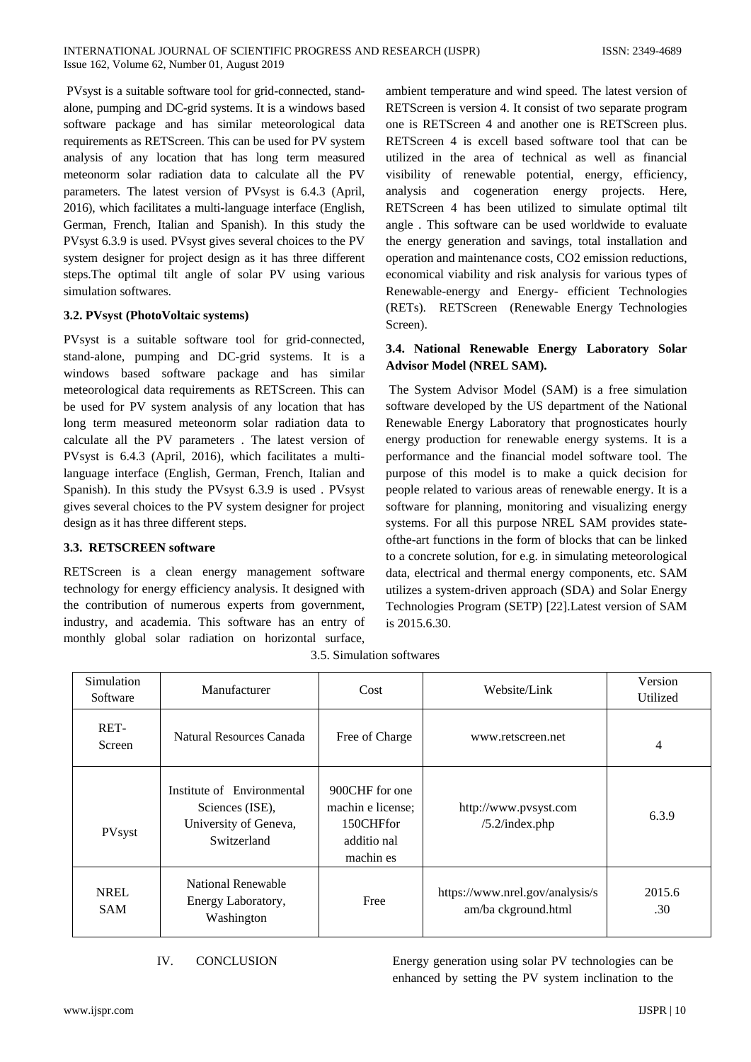PVsyst is a suitable software tool for grid-connected, standalone, pumping and DC-grid systems. It is a windows based software package and has similar meteorological data requirements as RETScreen. This can be used for PV system analysis of any location that has long term measured meteonorm solar radiation data to calculate all the PV parameters. The latest version of PVsyst is 6.4.3 (April, 2016), which facilitates a multi-language interface (English, German, French, Italian and Spanish). In this study the PVsyst 6.3.9 is used. PVsyst gives several choices to the PV system designer for project design as it has three different steps.The optimal tilt angle of solar PV using various simulation softwares.

### **3.2. PVsyst (PhotoVoltaic systems)**

PVsyst is a suitable software tool for grid-connected, stand-alone, pumping and DC-grid systems. It is a windows based software package and has similar meteorological data requirements as RETScreen. This can be used for PV system analysis of any location that has long term measured meteonorm solar radiation data to calculate all the PV parameters . The latest version of PVsyst is 6.4.3 (April, 2016), which facilitates a multilanguage interface (English, German, French, Italian and Spanish). In this study the PVsyst 6.3.9 is used . PVsyst gives several choices to the PV system designer for project design as it has three different steps.

#### **3.3. RETSCREEN software**

RETScreen is a clean energy management software technology for energy efficiency analysis. It designed with the contribution of numerous experts from government, industry, and academia. This software has an entry of monthly global solar radiation on horizontal surface,

ambient temperature and wind speed. The latest version of RETScreen is version 4. It consist of two separate program one is RETScreen 4 and another one is RETScreen plus. RETScreen 4 is excell based software tool that can be utilized in the area of technical as well as financial visibility of renewable potential, energy, efficiency, analysis and cogeneration energy projects. Here, RETScreen 4 has been utilized to simulate optimal tilt angle . This software can be used worldwide to evaluate the energy generation and savings, total installation and operation and maintenance costs, CO2 emission reductions, economical viability and risk analysis for various types of Renewable-energy and Energy- efficient Technologies (RETs). RETScreen (Renewable Energy Technologies Screen).

## **3.4. National Renewable Energy Laboratory Solar Advisor Model (NREL SAM).**

The System Advisor Model (SAM) is a free simulation software developed by the US department of the National Renewable Energy Laboratory that prognosticates hourly energy production for renewable energy systems. It is a performance and the financial model software tool. The purpose of this model is to make a quick decision for people related to various areas of renewable energy. It is a software for planning, monitoring and visualizing energy systems. For all this purpose NREL SAM provides stateofthe-art functions in the form of blocks that can be linked to a concrete solution, for e.g. in simulating meteorological data, electrical and thermal energy components, etc. SAM utilizes a system-driven approach (SDA) and Solar Energy Technologies Program (SETP) [22].Latest version of SAM is 2015.6.30.

|  | Simulation<br>Software    | Manufacturer                                                                          | Cost                                                                         | Website/Link                                           | Version<br>Utilized |
|--|---------------------------|---------------------------------------------------------------------------------------|------------------------------------------------------------------------------|--------------------------------------------------------|---------------------|
|  | RET-<br>Screen            | Natural Resources Canada                                                              | Free of Charge                                                               | www.retscreen.net                                      | $\overline{4}$      |
|  | PVsyst                    | Institute of Environmental<br>Sciences (ISE),<br>University of Geneva,<br>Switzerland | 900CHF for one<br>machin e license;<br>150CHFfor<br>additio nal<br>machin es | http://www.pvsyst.com<br>/5.2/index.php                | 6.3.9               |
|  | <b>NREL</b><br><b>SAM</b> | National Renewable<br>Energy Laboratory,<br>Washington                                | Free                                                                         | https://www.nrel.gov/analysis/s<br>am/ba ckground.html | 2015.6<br>.30       |

3.5. Simulation softwares

IV. CONCLUSION Energy generation using solar PV technologies can be enhanced by setting the PV system inclination to the